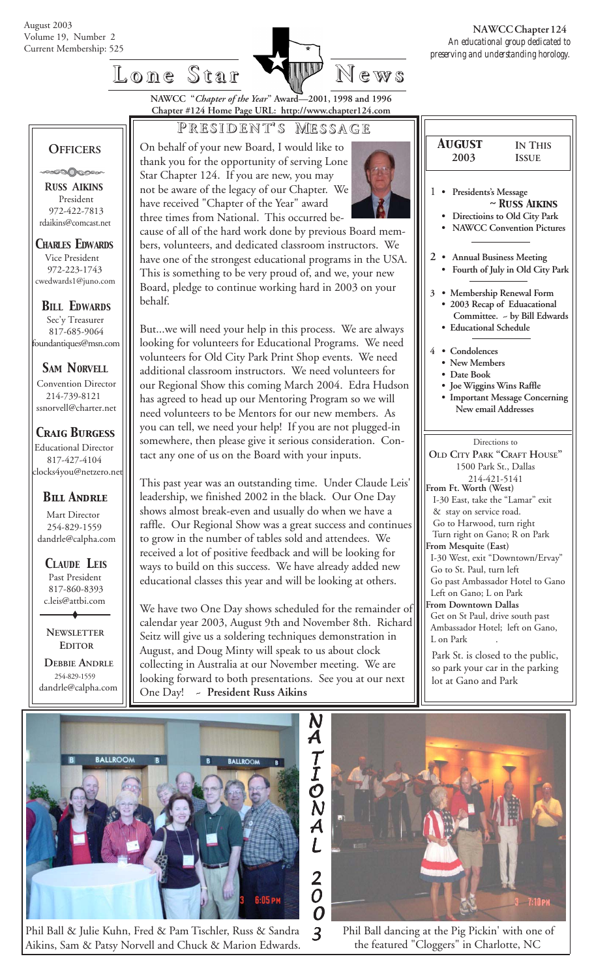

## **Lone Star Lone Star News**

**NAWCC "***Chapter of the Year***" Award—2001, 1998 and 1996 Chapter #124 Home Page URL: http://www.chapter124.com**

### **P RESIDENT RESIDENT' S M ESSAGE**

 **OFFICERS**

**POOP** 

 **R***USS* **A***IKINS* President 972-422-7813 rdaikins@comcast.net

*CHARLES EDWARDS* Vice President 972-223-1743 cwedwards1@juno.com

*BILL EDWARDS* Sec'y Treasurer 817-685-9064 foundantiques@msn.com

*SAM NORVELL*

Convention Director 214-739-8121 ssnorvell@charter.net

*Craig Burgess*

 Educational Director 817-427-4104 clocks4you@netzero.net

#### *Bill Andrle*

 Mart Director 254-829-1559 dandrle@calpha.com

 *CLAUDE LEIS* Past President 817-860-8393 c.leis@attbi.com

 **NEWSLETTER EDITOR**

 **DEBBIE ANDRLE** 254-829-1559 dandrle@calpha.com On behalf of your new Board, I would like to thank you for the opportunity of serving Lone Star Chapter 124. If you are new, you may not be aware of the legacy of our Chapter. We have received "Chapter of the Year" award three times from National. This occurred be-

cause of all of the hard work done by previous Board members, volunteers, and dedicated classroom instructors. We have one of the strongest educational programs in the USA. This is something to be very proud of, and we, your new Board, pledge to continue working hard in 2003 on your behalf.

But...we will need your help in this process. We are always looking for volunteers for Educational Programs. We need volunteers for Old City Park Print Shop events. We need additional classroom instructors. We need volunteers for our Regional Show this coming March 2004. Edra Hudson has agreed to head up our Mentoring Program so we will need volunteers to be Mentors for our new members. As you can tell, we need your help! If you are not plugged-in somewhere, then please give it serious consideration. Contact any one of us on the Board with your inputs.

This past year was an outstanding time. Under Claude Leis' leadership, we finished 2002 in the black. Our One Day shows almost break-even and usually do when we have a raffle. Our Regional Show was a great success and continues to grow in the number of tables sold and attendees. We received a lot of positive feedback and will be looking for ways to build on this success. We have already added new educational classes this year and will be looking at others.

We have two One Day shows scheduled for the remainder of calendar year 2003, August 9th and November 8th. Richard Seitz will give us a soldering techniques demonstration in August, and Doug Minty will speak to us about clock collecting in Australia at our November meeting. We are looking forward to both presentations. See you at our next One Day! ~ **President Russ Aikins**

| <b>AUGUST</b>                                    | <b>IN THIS</b>                                            |  |  |  |  |
|--------------------------------------------------|-----------------------------------------------------------|--|--|--|--|
| 2003                                             | <b>ISSUE</b>                                              |  |  |  |  |
|                                                  |                                                           |  |  |  |  |
| $\mathbf{1}$                                     |                                                           |  |  |  |  |
|                                                  | Presidents's Message<br>$\sim$ Russ Aikins                |  |  |  |  |
|                                                  | Directioins to Old City Park                              |  |  |  |  |
|                                                  | <b>NAWCC Convention Pictures</b>                          |  |  |  |  |
|                                                  |                                                           |  |  |  |  |
| $\overline{2}$<br><b>Annual Business Meeting</b> |                                                           |  |  |  |  |
|                                                  | Fourth of July in Old City Park                           |  |  |  |  |
|                                                  |                                                           |  |  |  |  |
| 3                                                | Membership Renewal Form                                   |  |  |  |  |
|                                                  | 2003 Recap of Eduacational                                |  |  |  |  |
|                                                  | Committee. ~ by Bill Edwards                              |  |  |  |  |
| <b>Educational Schedule</b>                      |                                                           |  |  |  |  |
| $\overline{4}$<br>• Condolences                  |                                                           |  |  |  |  |
|                                                  | • New Members                                             |  |  |  |  |
| • Date Book                                      |                                                           |  |  |  |  |
|                                                  | · Joe Wiggins Wins Raffle                                 |  |  |  |  |
| <b>Important Message Concerning</b>              |                                                           |  |  |  |  |
| New email Addresses                              |                                                           |  |  |  |  |
|                                                  |                                                           |  |  |  |  |
| Directions to                                    |                                                           |  |  |  |  |
| OLD CITY PARK "CRAFT HOUSE"                      |                                                           |  |  |  |  |
| 1500 Park St., Dallas                            |                                                           |  |  |  |  |
| 214-421-5141                                     |                                                           |  |  |  |  |
|                                                  | From Ft. Worth (West)<br>I-30 East, take the "Lamar" exit |  |  |  |  |
|                                                  |                                                           |  |  |  |  |
|                                                  | & stay on service road.<br>Go to Harwood, turn right      |  |  |  |  |
| Turn right on Gano; R on Park                    |                                                           |  |  |  |  |
| From Mesquite (East)                             |                                                           |  |  |  |  |
|                                                  | L-30 West. exit "Downtown/Fryay"                          |  |  |  |  |

 I-30 West, exit "Downtown/Ervay" Go to St. Paul, turn left

 Go past Ambassador Hotel to Gano Left on Gano; L on Park

**From Downtown Dallas**

 Get on St Paul, drive south past Ambassador Hotel; left on Gano, L on Park

Park St. is closed to the public, so park your car in the parking lot at Gano and Park



Phil Ball & Julie Kuhn, Fred & Pam Tischler, Russ & Sandra *<sup>3</sup>* Aikins, Sam & Patsy Norvell and Chuck & Marion Edwards.



 Phil Ball dancing at the Pig Pickin' with one of the featured "Cloggers" in Charlotte, NC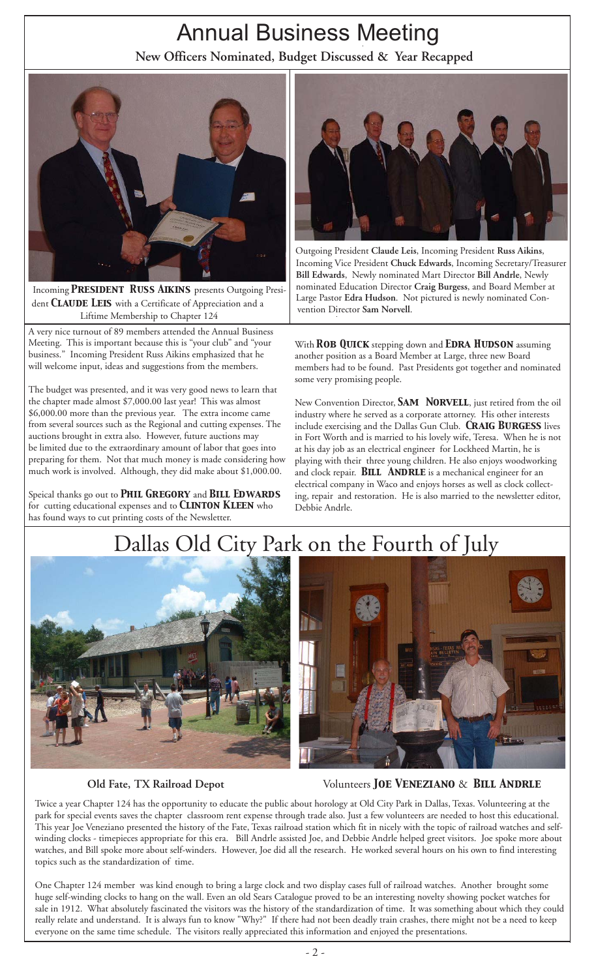# Annual Business Meeting

**New Officers Nominated, Budget Discussed & Year Recapped**



Incoming *President Russ Aikins* presents Outgoing Presi dent *Claude Leis* with a Certificate of Appreciation and a Liftime Membership to Chapter 124

A very nice turnout of 89 members attended the Annual Business Meeting. This is important because this is "your club" and "your business." Incoming President Russ Aikins emphasized that he will welcome input, ideas and suggestions from the members.

The budget was presented, and it was very good news to learn that the chapter made almost \$7,000.00 last year! This was almost \$6,000.00 more than the previous year. The extra income came from several sources such as the Regional and cutting expenses. The auctions brought in extra also. However, future auctions may be limited due to the extraordinary amount of labor that goes into preparing for them. Not that much money is made considering how much work is involved. Although, they did make about \$1,000.00.

Speical thanks go out to *Phil Gregory* and *Bill Edwards* for cutting educational expenses and to *Clinton Kleen* who has found ways to cut printing costs of the Newsletter.



 Outgoing President **Claude Leis**, Incoming President **Russ Aikins**, Incoming Vice President **Chuck Edwards**, Incoming Secretary/Treasurer **Bill Edwards**, Newly nominated Mart Director **Bill Andrle**, Newly nominated Education Director **Craig Burgess**, and Board Member at Large Pastor **Edra Hudson**. Not pictured is newly nominated Con vention Director **Sam Norvell**.

With *Rob Quick* stepping down and *Edra Hudson* assuming another position as a Board Member at Large, three new Board members had to be found. Past Presidents got together and nominated some very promising people.

New Convention Director, **SAM NORVELL**, just retired from the oil industry where he served as a corporate attorney. His other interests include exercising and the Dallas Gun Club. *Craig Burgess* lives in Fort Worth and is married to his lovely wife, Teresa. When he is not at his day job as an electrical engineer for Lockheed Martin, he is playing with their three young children. He also enjoys woodworking and clock repair. **BILL ANDRLE** is a mechanical engineer for an electrical company in Waco and enjoys horses as well as clock collecting, repair and restoration. He is also married to the newsletter editor, Debbie Andrle.

# Dallas Old City Park on the Fourth of July





**Old Fate, TX Railroad Depot** Volunteers *Joe Veneziano* & *Bill Andrle*

Twice a year Chapter 124 has the opportunity to educate the public about horology at Old City Park in Dallas, Texas. Volunteering at the park for special events saves the chapter classroom rent expense through trade also. Just a few volunteers are needed to host this educational. This year Joe Veneziano presented the history of the Fate, Texas railroad station which fit in nicely with the topic of railroad watches and selfwinding clocks - timepieces appropriate for this era. Bill Andrle assisted Joe, and Debbie Andrle helped greet visitors. Joe spoke more about watches, and Bill spoke more about self-winders. However, Joe did all the research. He worked several hours on his own to find interesting topics such as the standardization of time.

One Chapter 124 member was kind enough to bring a large clock and two display cases full of railroad watches. Another brought some huge self-winding clocks to hang on the wall. Even an old Sears Catalogue proved to be an interesting novelty showing pocket watches for sale in 1912. What absolutely fascinated the visitors was the history of the standardization of time. It was something about which they could really relate and understand. It is always fun to know "Why?" If there had not been deadly train crashes, there might not be a need to keep everyone on the same time schedule. The visitors really appreciated this information and enjoyed the presentations.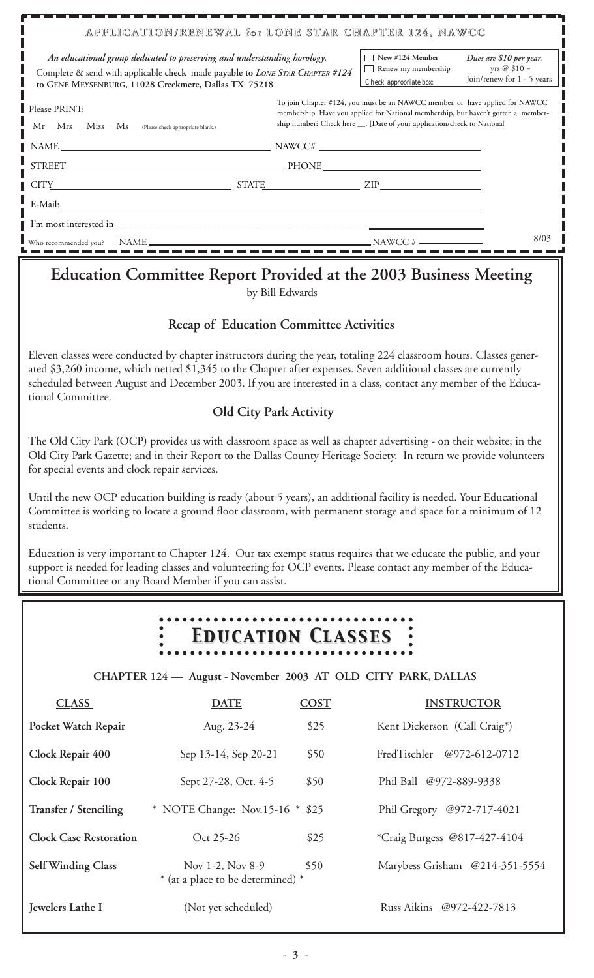| APPLICATION/RENEWAL for LONE STAR CHAPTER 124, NAWCC                                                                                                                                                                                                                                                                                                                         |  |                                                                                                                                                                                                                                               |                                              |  |  |
|------------------------------------------------------------------------------------------------------------------------------------------------------------------------------------------------------------------------------------------------------------------------------------------------------------------------------------------------------------------------------|--|-----------------------------------------------------------------------------------------------------------------------------------------------------------------------------------------------------------------------------------------------|----------------------------------------------|--|--|
| An educational group dedicated to preserving and understanding horology.                                                                                                                                                                                                                                                                                                     |  | $\Box$ New #124 Member                                                                                                                                                                                                                        | Dues are \$10 per year.                      |  |  |
| Complete & send with applicable check made payable to LONE STAR CHAPTER #124<br>to GENE MEYSENBURG, 11028 Creekmere, Dallas TX 75218                                                                                                                                                                                                                                         |  | Renew my membership<br>Check appropriate box:                                                                                                                                                                                                 | yrs $@$ \$10 =<br>Join/renew for 1 - 5 years |  |  |
| Please PRINT:                                                                                                                                                                                                                                                                                                                                                                |  | To join Chapter #124, you must be an NAWCC member, or have applied for NAWCC<br>membership. Have you applied for National membership, but haven't gotten a member-<br>ship number? Check here __, [Date of your application/check to National |                                              |  |  |
| Mr__ Mrs__ Miss__ Ms__ (Please check appropriate blank.)                                                                                                                                                                                                                                                                                                                     |  |                                                                                                                                                                                                                                               |                                              |  |  |
| $NAME$ $NAME$ $NANCE#$ $NANCE#$ $NANCE#$ $NANCE#$ $NANCE#$ $NANCE#$ $NANCE#$ $N A W C C#$ $N A W C C#$ $N A W C C#$ $N A W C C#$ $N A W C C#$ $N A W C C#$ $N A W C C#$ $N A W C C#$ $N A W C C#$ $N A W C C#$ $N A W C C#$ $N A W C C#$ $N A W C C#$ $N A W C C#$ $N A W C C#$ $N A W C C#$ $N A W C C#$ $N A W C C#$ $N A W C C#$                                          |  |                                                                                                                                                                                                                                               |                                              |  |  |
|                                                                                                                                                                                                                                                                                                                                                                              |  |                                                                                                                                                                                                                                               |                                              |  |  |
| $CITY$ $ZIP$ $ZIP$                                                                                                                                                                                                                                                                                                                                                           |  |                                                                                                                                                                                                                                               |                                              |  |  |
|                                                                                                                                                                                                                                                                                                                                                                              |  |                                                                                                                                                                                                                                               |                                              |  |  |
|                                                                                                                                                                                                                                                                                                                                                                              |  |                                                                                                                                                                                                                                               |                                              |  |  |
| Who recommended you?                                                                                                                                                                                                                                                                                                                                                         |  |                                                                                                                                                                                                                                               | 8/03                                         |  |  |
| <b>Education Committee Report Provided at the 2003 Business Meeting</b><br>by Bill Edwards                                                                                                                                                                                                                                                                                   |  |                                                                                                                                                                                                                                               |                                              |  |  |
| <b>Recap of Education Committee Activities</b>                                                                                                                                                                                                                                                                                                                               |  |                                                                                                                                                                                                                                               |                                              |  |  |
| Eleven classes were conducted by chapter instructors during the year, totaling 224 classroom hours. Classes gener-<br>ated \$3,260 income, which netted \$1,345 to the Chapter after expenses. Seven additional classes are currently<br>scheduled between August and December 2003. If you are interested in a class, contact any member of the Educa-<br>tional Committee. |  |                                                                                                                                                                                                                                               |                                              |  |  |
| <b>Old City Park Activity</b>                                                                                                                                                                                                                                                                                                                                                |  |                                                                                                                                                                                                                                               |                                              |  |  |
| The Old City Park (OCP) provides us with classroom space as well as chapter advertising - on their website; in the<br>Old City Park Gazette; and in their Report to the Dallas County Heritage Society. In return we provide volunteers<br>for special events and clock repair services.                                                                                     |  |                                                                                                                                                                                                                                               |                                              |  |  |
| Until the new OCP education building is ready (about 5 years), an additional facility is needed. Your Educational<br>Committee is working to locate a ground floor classroom, with permanent storage and space for a minimum of 12<br>students.                                                                                                                              |  |                                                                                                                                                                                                                                               |                                              |  |  |

Education is very important to Chapter 124. Our tax exempt status requires that we educate the public, and your support is needed for leading classes and volunteering for OCP events. Please contact any member of the Educational Committee or any Board Member if you can assist.

#### *Education Classes Education Classes*  $\begin{array}{c} \bullet \\ \bullet \hspace{1.6cm} \bullet \hspace{1.6cm} \bullet \end{array}$

 **CHAPTER 124 — August - November 2003 AT OLD CITY PARK, DALLAS**

| <b>CLASS</b>                  | <b>DATE</b>                                           | <b>COST</b> | <b>INSTRUCTOR</b>              |
|-------------------------------|-------------------------------------------------------|-------------|--------------------------------|
| Pocket Watch Repair           | Aug. 23-24                                            | \$25        | Kent Dickerson (Call Craig*)   |
| Clock Repair 400              | Sep 13-14, Sep 20-21                                  | \$50        | FredTischler<br>@972-612-0712  |
| Clock Repair 100              | Sept 27-28, Oct. 4-5                                  | \$50        | Phil Ball @972-889-9338        |
| Transfer / Stenciling         | * NOTE Change: Nov.15-16 $*$ \$25                     |             | Phil Gregory @972-717-4021     |
| <b>Clock Case Restoration</b> | Oct 25-26                                             | \$25        | *Craig Burgess @817-427-4104   |
| <b>Self Winding Class</b>     | Nov 1-2, Nov 8-9<br>* (at a place to be determined) * | \$50        | Marybess Grisham @214-351-5554 |
| Jewelers Lathe I              | (Not yet scheduled)                                   |             | Russ Aikins @972-422-7813      |